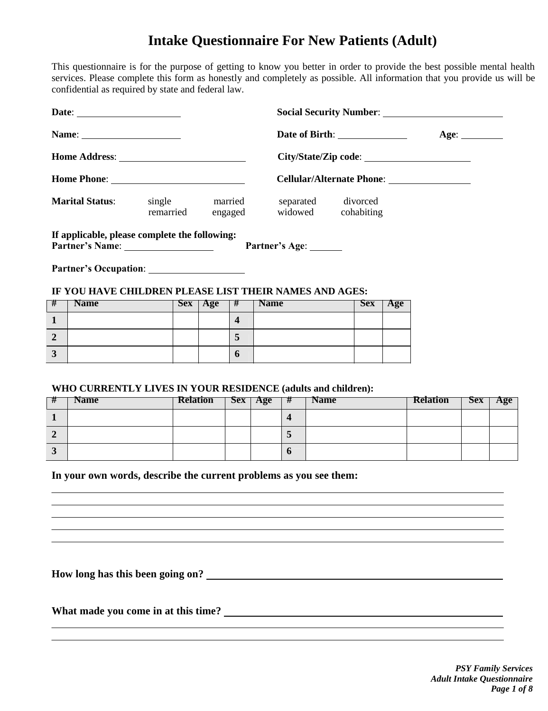# **Intake Questionnaire For New Patients (Adult)**

This questionnaire is for the purpose of getting to know you better in order to provide the best possible mental health services. Please complete this form as honestly and completely as possible. All information that you provide us will be confidential as required by state and federal law.

|                                                               | Name: $\frac{1}{\sqrt{1-\frac{1}{2}}\sqrt{1-\frac{1}{2}}\left\vert \frac{1}{2}+1\right\vert }$ |                 |           |                         |                                          | Date of Birth: <u>Age:</u> Age: |            |     |                 |            |     |
|---------------------------------------------------------------|------------------------------------------------------------------------------------------------|-----------------|-----------|-------------------------|------------------------------------------|---------------------------------|------------|-----|-----------------|------------|-----|
|                                                               |                                                                                                |                 |           |                         |                                          |                                 |            |     |                 |            |     |
|                                                               |                                                                                                |                 |           |                         |                                          |                                 |            |     |                 |            |     |
| <b>Marital Status:</b> single<br>married<br>remarried engaged |                                                                                                |                 |           |                         | separated divorced<br>widowed cohabiting |                                 |            |     |                 |            |     |
|                                                               | If applicable, please complete the following:                                                  |                 |           |                         |                                          | Partner's Age: ______           |            |     |                 |            |     |
| #                                                             | IF YOU HAVE CHILDREN PLEASE LIST THEIR NAMES AND AGES:<br><b>Name</b>                          |                 | $Sex$ Age |                         | # Name                                   |                                 | <b>Sex</b> | Age |                 |            |     |
| $\mathbf{1}$                                                  |                                                                                                |                 |           | $\overline{\mathbf{4}}$ |                                          |                                 |            |     |                 |            |     |
| $\overline{2}$                                                |                                                                                                |                 |           | $5\overline{)}$         |                                          |                                 |            |     |                 |            |     |
| $\overline{3}$                                                |                                                                                                |                 |           |                         |                                          |                                 |            |     |                 |            |     |
|                                                               |                                                                                                |                 |           | 6                       |                                          |                                 |            |     |                 |            |     |
| #                                                             | WHO CURRENTLY LIVES IN YOUR RESIDENCE (adults and children):<br><b>Name</b>                    | <b>Relation</b> |           |                         | $Sex \mid Age$                           | #<br><b>Name</b>                |            |     | <b>Relation</b> | <b>Sex</b> | Age |
| $\mathbf{1}$                                                  |                                                                                                |                 |           |                         |                                          | $\overline{\mathbf{4}}$         |            |     |                 |            |     |
|                                                               |                                                                                                |                 |           |                         |                                          |                                 |            |     |                 |            |     |
| $\overline{2}$                                                |                                                                                                |                 |           |                         |                                          | 5                               |            |     |                 |            |     |
| $\mathbf{3}$                                                  |                                                                                                |                 |           |                         |                                          | 6                               |            |     |                 |            |     |
|                                                               | In your own words, describe the current problems as you see them:                              |                 |           |                         |                                          |                                 |            |     |                 |            |     |

**How long has this been going on?**

**What made you come in at this time?**

*PSY Family Services Adult Intake Questionnaire Page 1 of 8*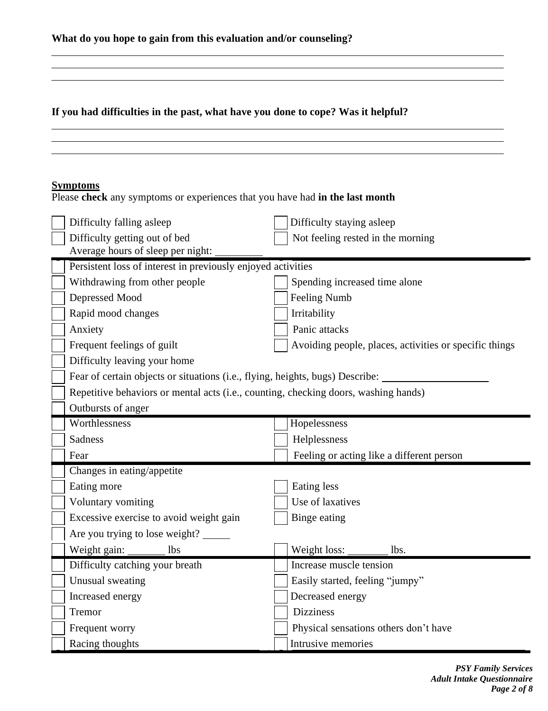| What do you hope to gain from this evaluation and/or counseling? |
|------------------------------------------------------------------|
|------------------------------------------------------------------|

**If you had difficulties in the past, what have you done to cope? Was it helpful?**

# **Symptoms**

Please **check** any symptoms or experiences that you have had **in the last month**

| Difficulty falling asleep                                                           | Difficulty staying asleep                              |
|-------------------------------------------------------------------------------------|--------------------------------------------------------|
| Difficulty getting out of bed                                                       | Not feeling rested in the morning                      |
| Average hours of sleep per night:                                                   |                                                        |
| Persistent loss of interest in previously enjoyed activities                        |                                                        |
| Withdrawing from other people                                                       | Spending increased time alone                          |
| Depressed Mood                                                                      | <b>Feeling Numb</b>                                    |
| Rapid mood changes                                                                  | Irritability                                           |
| Anxiety                                                                             | Panic attacks                                          |
| Frequent feelings of guilt                                                          | Avoiding people, places, activities or specific things |
| Difficulty leaving your home                                                        |                                                        |
| Fear of certain objects or situations (i.e., flying, heights, bugs) Describe:       |                                                        |
| Repetitive behaviors or mental acts (i.e., counting, checking doors, washing hands) |                                                        |
| Outbursts of anger                                                                  |                                                        |
| Worthlessness                                                                       | Hopelessness                                           |
| <b>Sadness</b>                                                                      | Helplessness                                           |
|                                                                                     |                                                        |
| Fear                                                                                | Feeling or acting like a different person              |
| Changes in eating/appetite                                                          |                                                        |
| Eating more                                                                         | Eating less                                            |
| Voluntary vomiting                                                                  | Use of laxatives                                       |
| Excessive exercise to avoid weight gain                                             | Binge eating                                           |
| Are you trying to lose weight?                                                      |                                                        |
| Weight gain:<br><b>lbs</b>                                                          | Weight loss:<br>lbs.                                   |
| Difficulty catching your breath                                                     | Increase muscle tension                                |
| Unusual sweating                                                                    | Easily started, feeling "jumpy"                        |
| Increased energy                                                                    | Decreased energy                                       |
| Tremor                                                                              | <b>Dizziness</b>                                       |
| Frequent worry                                                                      | Physical sensations others don't have                  |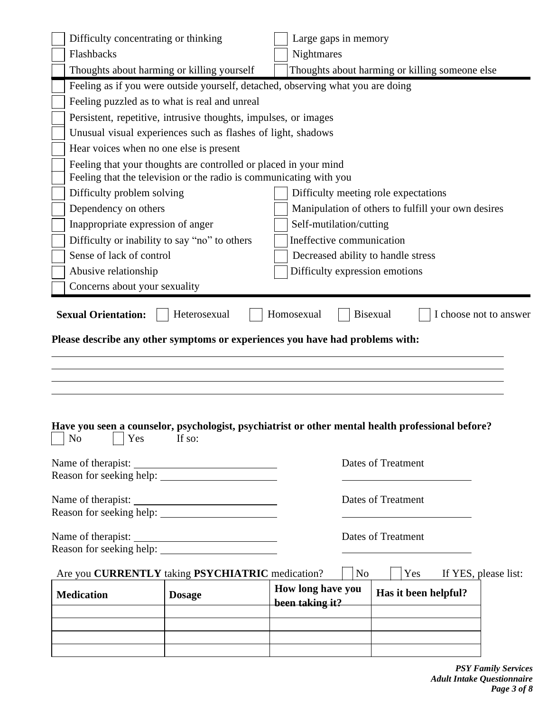|                               | Difficulty concentrating or thinking                                                                                                   | Large gaps in memory                                                                              |  |
|-------------------------------|----------------------------------------------------------------------------------------------------------------------------------------|---------------------------------------------------------------------------------------------------|--|
| Flashbacks                    |                                                                                                                                        | Nightmares                                                                                        |  |
|                               | Thoughts about harming or killing yourself                                                                                             | Thoughts about harming or killing someone else                                                    |  |
|                               |                                                                                                                                        | Feeling as if you were outside yourself, detached, observing what you are doing                   |  |
|                               | Feeling puzzled as to what is real and unreal                                                                                          |                                                                                                   |  |
|                               | Persistent, repetitive, intrusive thoughts, impulses, or images                                                                        |                                                                                                   |  |
|                               | Unusual visual experiences such as flashes of light, shadows                                                                           |                                                                                                   |  |
|                               | Hear voices when no one else is present                                                                                                |                                                                                                   |  |
|                               | Feeling that your thoughts are controlled or placed in your mind<br>Feeling that the television or the radio is communicating with you |                                                                                                   |  |
| Difficulty problem solving    |                                                                                                                                        | Difficulty meeting role expectations                                                              |  |
| Dependency on others          |                                                                                                                                        | Manipulation of others to fulfill your own desires                                                |  |
|                               | Inappropriate expression of anger                                                                                                      | Self-mutilation/cutting                                                                           |  |
|                               | Difficulty or inability to say "no" to others                                                                                          | Ineffective communication                                                                         |  |
| Sense of lack of control      |                                                                                                                                        | Decreased ability to handle stress                                                                |  |
| Abusive relationship          |                                                                                                                                        | Difficulty expression emotions                                                                    |  |
| Concerns about your sexuality |                                                                                                                                        |                                                                                                   |  |
|                               |                                                                                                                                        |                                                                                                   |  |
|                               |                                                                                                                                        | Have you seen a counselor, psychologist, psychiatrist or other mental health professional before? |  |
| Yes<br>No                     | If so:                                                                                                                                 |                                                                                                   |  |
|                               |                                                                                                                                        | Dates of Treatment                                                                                |  |
|                               |                                                                                                                                        |                                                                                                   |  |
|                               |                                                                                                                                        | <b>Dates of Treatment</b>                                                                         |  |
|                               | Name of therapist:                                                                                                                     |                                                                                                   |  |
|                               |                                                                                                                                        | <b>Dates of Treatment</b>                                                                         |  |
|                               |                                                                                                                                        |                                                                                                   |  |
|                               | Are you CURRENTLY taking PSYCHIATRIC medication?                                                                                       | N <sub>o</sub><br>Yes<br>If YES, please list:<br>How long have you                                |  |
| <b>Medication</b>             | <b>Dosage</b>                                                                                                                          | Has it been helpful?<br>been taking it?                                                           |  |
|                               |                                                                                                                                        |                                                                                                   |  |
|                               |                                                                                                                                        |                                                                                                   |  |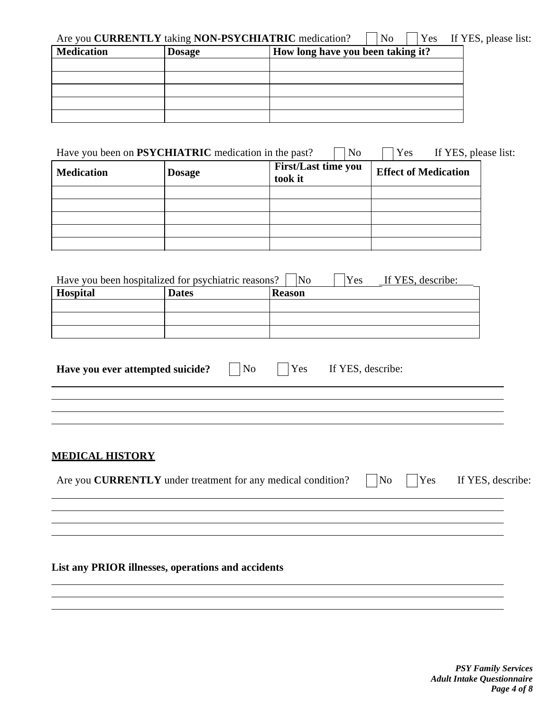| Are you CURRENTLY taking NON-PSYCHIATRIC medication? |               |                                   | N <sub>0</sub> |  | <b>Yes</b> If YES, please list: |
|------------------------------------------------------|---------------|-----------------------------------|----------------|--|---------------------------------|
| <b>Medication</b>                                    | <b>Dosage</b> | How long have you been taking it? |                |  |                                 |
|                                                      |               |                                   |                |  |                                 |
|                                                      |               |                                   |                |  |                                 |
|                                                      |               |                                   |                |  |                                 |
|                                                      |               |                                   |                |  |                                 |
|                                                      |               |                                   |                |  |                                 |

| Have you been on <b>PSYCHIATRIC</b> medication in the past?<br>Yes<br>If YES, please list:<br>N <sub>0</sub> |               |                                       |                             |  |  |  |  |
|--------------------------------------------------------------------------------------------------------------|---------------|---------------------------------------|-----------------------------|--|--|--|--|
| <b>Medication</b>                                                                                            | <b>Dosage</b> | <b>First/Last time you</b><br>took it | <b>Effect of Medication</b> |  |  |  |  |
|                                                                                                              |               |                                       |                             |  |  |  |  |
|                                                                                                              |               |                                       |                             |  |  |  |  |
|                                                                                                              |               |                                       |                             |  |  |  |  |
|                                                                                                              |               |                                       |                             |  |  |  |  |
|                                                                                                              |               |                                       |                             |  |  |  |  |

| Have you been hospitalized for psychiatric reasons? |              | No            | Yes | If YES, describe: |  |
|-----------------------------------------------------|--------------|---------------|-----|-------------------|--|
| <b>Hospital</b>                                     | <b>Dates</b> | <b>Reason</b> |     |                   |  |
|                                                     |              |               |     |                   |  |
|                                                     |              |               |     |                   |  |
|                                                     |              |               |     |                   |  |

| Have you ever attempted suicide? |  | No |  | Yes | If YES, describe: |
|----------------------------------|--|----|--|-----|-------------------|
|----------------------------------|--|----|--|-----|-------------------|

## **MEDICAL HISTORY**

| Are you <b>CURRENTLY</b> under treatment for any medical condition? |  |  | $\n  \Box No \Box Yes \Box If YES, describe:$ |
|---------------------------------------------------------------------|--|--|-----------------------------------------------|
|---------------------------------------------------------------------|--|--|-----------------------------------------------|

<u> 1989 - Johann Stoff, deutscher Stoffen und der Stoffen und der Stoffen und der Stoffen und der Stoffen und de</u>

## **List any PRIOR illnesses, operations and accidents**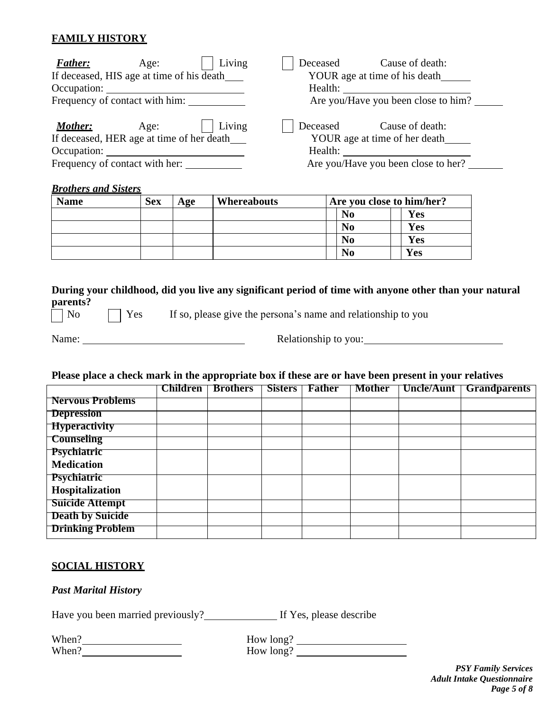## **FAMILY HISTORY**

| Living<br><b>Father:</b><br>Age:                                                      | Deceased<br>Cause of death:                                                                                                                                                                                                    |
|---------------------------------------------------------------------------------------|--------------------------------------------------------------------------------------------------------------------------------------------------------------------------------------------------------------------------------|
| If deceased, HIS age at time of his death                                             | YOUR age at time of his death                                                                                                                                                                                                  |
| Occupation:                                                                           | Health: The Contract of the Contract of the Contract of the Contract of the Contract of the Contract of the Contract of the Contract of the Contract of the Contract of the Contract of the Contract of the Contract of the Co |
| Frequency of contact with him:                                                        | Are you/Have you been close to him?                                                                                                                                                                                            |
| Living<br>Mother:<br>Age:<br>If deceased, HER age at time of her death<br>Occupation: | Deceased<br>Cause of death:<br>YOUR age at time of her death<br>Health:                                                                                                                                                        |
| Frequency of contact with her:                                                        | Are you/Have you been close to her?                                                                                                                                                                                            |

#### *Brothers and Sisters*

| <b>Name</b> | <b>Sex</b> | Age | Whereabouts | Are you close to him/her? |            |  |
|-------------|------------|-----|-------------|---------------------------|------------|--|
|             |            |     |             | No                        | Yes        |  |
|             |            |     |             | N <sub>0</sub>            | <b>Yes</b> |  |
|             |            |     |             | No                        | <b>Yes</b> |  |
|             |            |     |             | No                        | Yes        |  |

**During your childhood, did you live any significant period of time with anyone other than your natural parents?**<br>
No

 $\Box$  Yes If so, please give the persona's name and relationship to you

Name: Relationship to you:

#### Please place a check mark in the appropriate box if these are or have been present in your relatives

|                                       | Children | <b>Brothers</b> | Sisters | <b>Father</b> | <b>Mother</b> | Uncle/Aunt   Grandparents |
|---------------------------------------|----------|-----------------|---------|---------------|---------------|---------------------------|
| <b>Nervous Problems</b>               |          |                 |         |               |               |                           |
| <b>Depression</b>                     |          |                 |         |               |               |                           |
| <b>Hyperactivity</b>                  |          |                 |         |               |               |                           |
| <b>Counseling</b>                     |          |                 |         |               |               |                           |
| $\mathbf{\left  \right.}$ Psychiatric |          |                 |         |               |               |                           |
| <b>Medication</b>                     |          |                 |         |               |               |                           |
| Psychiatric                           |          |                 |         |               |               |                           |
| Hospitalization                       |          |                 |         |               |               |                           |
| Suicide Attempt                       |          |                 |         |               |               |                           |
| <b>Death by Suicide</b>               |          |                 |         |               |               |                           |
| <b>Drinking Problem</b>               |          |                 |         |               |               |                           |

#### **SOCIAL HISTORY**

#### *Past Marital History*

Have you been married previously? If Yes, please describe

| When? |  |
|-------|--|
| When? |  |

When? How long? How long?

> *PSY Family Services Adult Intake Questionnaire Page 5 of 8*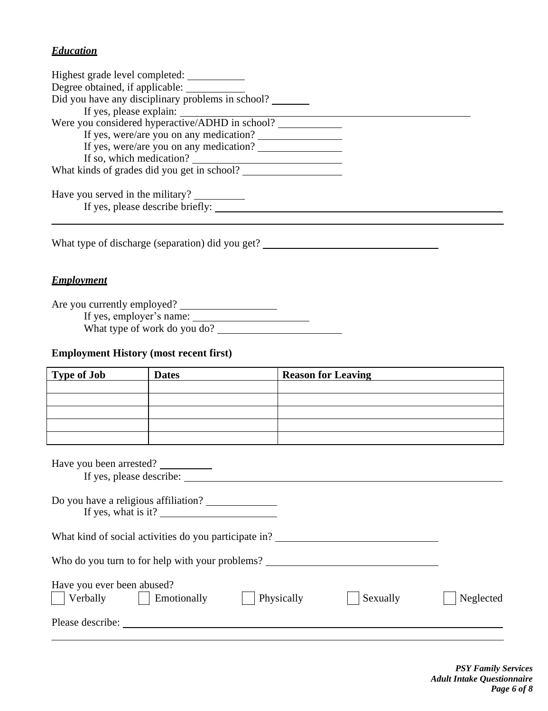## *Education*

| Highest grade level completed:                    |  |
|---------------------------------------------------|--|
| Degree obtained, if applicable:                   |  |
| Did you have any disciplinary problems in school? |  |
| If yes, please explain:                           |  |
| Were you considered hyperactive/ADHD in school?   |  |
| If yes, were/are you on any medication?           |  |
| If yes, were/are you on any medication?           |  |
| If so, which medication?                          |  |
| What kinds of grades did you get in school?       |  |
| Have you served in the military?                  |  |
| If yes, please describe briefly:                  |  |
|                                                   |  |

What type of discharge (separation) did you get? \_\_\_\_\_\_\_\_\_\_\_\_\_\_\_\_\_\_\_\_\_\_\_\_\_\_\_\_\_\_\_\_

## *Employment*

Are you currently employed?

If yes, employer's name:

What type of work do you do?

## **Employment History (most recent first)**

| <b>Type of Job</b>                                   | <b>Dates</b>                                                                                                                                                                                                                                                                                                                                                                                                      | <b>Reason for Leaving</b>                             |           |
|------------------------------------------------------|-------------------------------------------------------------------------------------------------------------------------------------------------------------------------------------------------------------------------------------------------------------------------------------------------------------------------------------------------------------------------------------------------------------------|-------------------------------------------------------|-----------|
|                                                      |                                                                                                                                                                                                                                                                                                                                                                                                                   |                                                       |           |
|                                                      |                                                                                                                                                                                                                                                                                                                                                                                                                   |                                                       |           |
|                                                      |                                                                                                                                                                                                                                                                                                                                                                                                                   |                                                       |           |
|                                                      |                                                                                                                                                                                                                                                                                                                                                                                                                   |                                                       |           |
|                                                      |                                                                                                                                                                                                                                                                                                                                                                                                                   |                                                       |           |
| Have you been arrested?                              |                                                                                                                                                                                                                                                                                                                                                                                                                   |                                                       |           |
|                                                      | If yes, what is it? $\frac{1}{\sqrt{1-\frac{1}{\sqrt{1-\frac{1}{\sqrt{1-\frac{1}{\sqrt{1-\frac{1}{\sqrt{1-\frac{1}{\sqrt{1-\frac{1}{\sqrt{1-\frac{1}{\sqrt{1-\frac{1}{\sqrt{1-\frac{1}{\sqrt{1-\frac{1}{\sqrt{1-\frac{1}{\sqrt{1-\frac{1}{\sqrt{1-\frac{1}{\sqrt{1-\frac{1}{\sqrt{1-\frac{1}{\sqrt{1-\frac{1}{\sqrt{1-\frac{1}{\sqrt{1-\frac{1}{\sqrt{1-\frac{1}{\sqrt{1-\frac{1}{\sqrt{1-\frac{1}{\sqrt{1-\frac$ |                                                       |           |
|                                                      |                                                                                                                                                                                                                                                                                                                                                                                                                   | What kind of social activities do you participate in? |           |
|                                                      |                                                                                                                                                                                                                                                                                                                                                                                                                   | Who do you turn to for help with your problems?       |           |
| Have you ever been abused?<br>Verbally   Emotionally |                                                                                                                                                                                                                                                                                                                                                                                                                   | Physically<br>Sexually                                | Neglected |
|                                                      | Please describe:                                                                                                                                                                                                                                                                                                                                                                                                  |                                                       |           |
|                                                      |                                                                                                                                                                                                                                                                                                                                                                                                                   |                                                       |           |